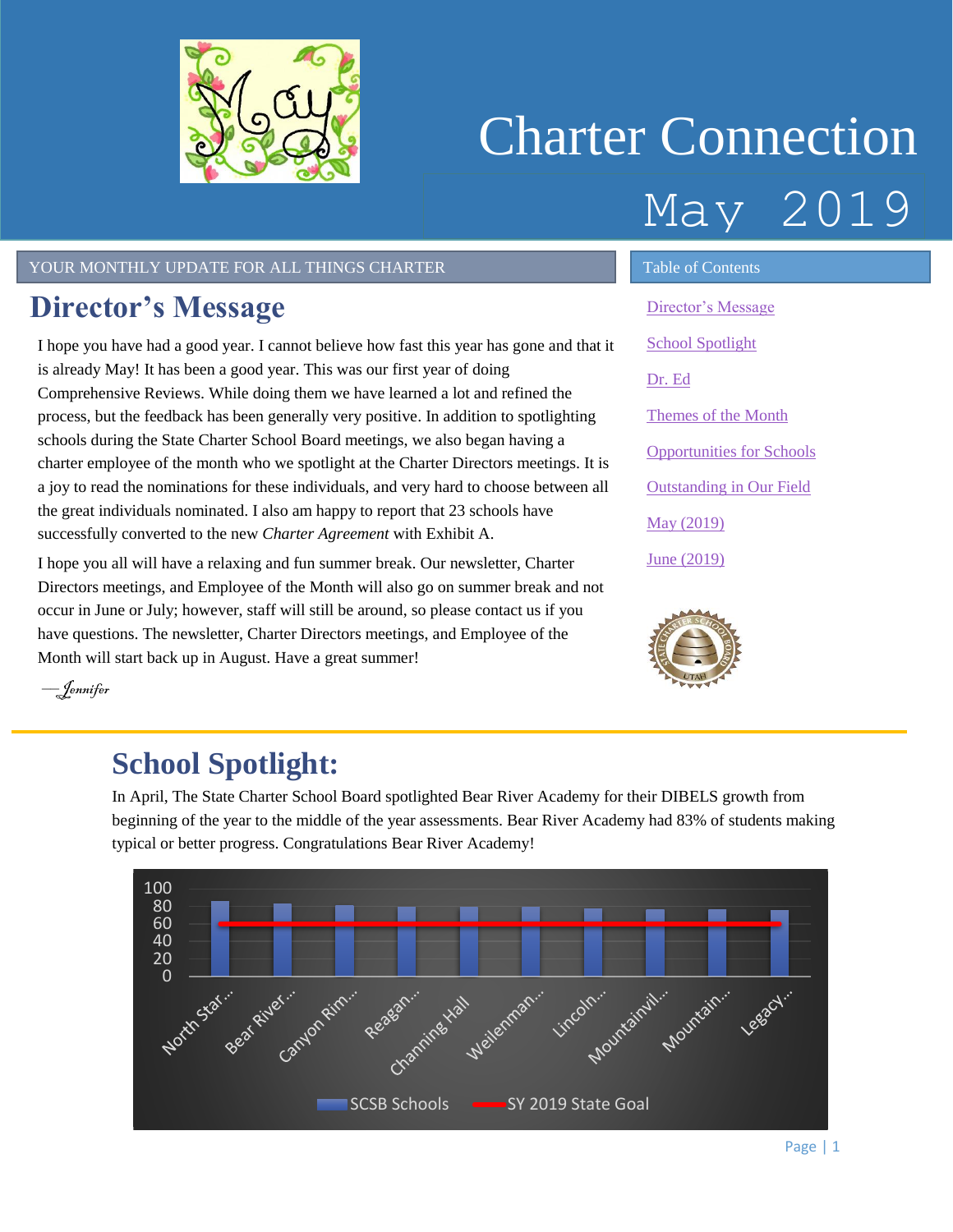<span id="page-0-1"></span>

# Charter Connection May 2019

#### YOUR MONTHLY UPDATE FOR ALL THINGS CHARTER TABLE OF Contents

### <span id="page-0-0"></span>**Director's Message**

I hope you have had a good year. I cannot believe how fast this year has gone and that it is already May! It has been a good year. This was our first year of doing Comprehensive Reviews. While doing them we have learned a lot and refined the process, but the feedback has been generally very positive. In addition to spotlighting schools during the State Charter School Board meetings, we also began having a charter employee of the month who we spotlight at the Charter Directors meetings. It is a joy to read the nominations for these individuals, and very hard to choose between all the great individuals nominated. I also am happy to report that 23 schools have successfully converted to the new *Charter Agreement* with Exhibit A.

I hope you all will have a relaxing and fun summer break. Our newsletter, Charter Directors meetings, and Employee of the Month will also go on summer break and not occur in June or July; however, staff will still be around, so please contact us if you have questions. The newsletter, Charter Directors meetings, and Employee of the Month will start back up in August. Have a great summer!

[Director's Message](#page-0-0) [School Spotlight](#page-0-1) [Dr. Ed](#page-1-0) [Themes of the Month](#page-1-1) [Opportunities for Schools](#page-2-0)  [Outstanding in Our Field](#page-2-1) May [\(2019\)](#page-3-0) June [\(2019\)](#page-3-1)



––Jennifer

### **School Spotlight:**

In April, The State Charter School Board spotlighted Bear River Academy for their DIBELS growth from beginning of the year to the middle of the year assessments. Bear River Academy had 83% of students making typical or better progress. Congratulations Bear River Academy!

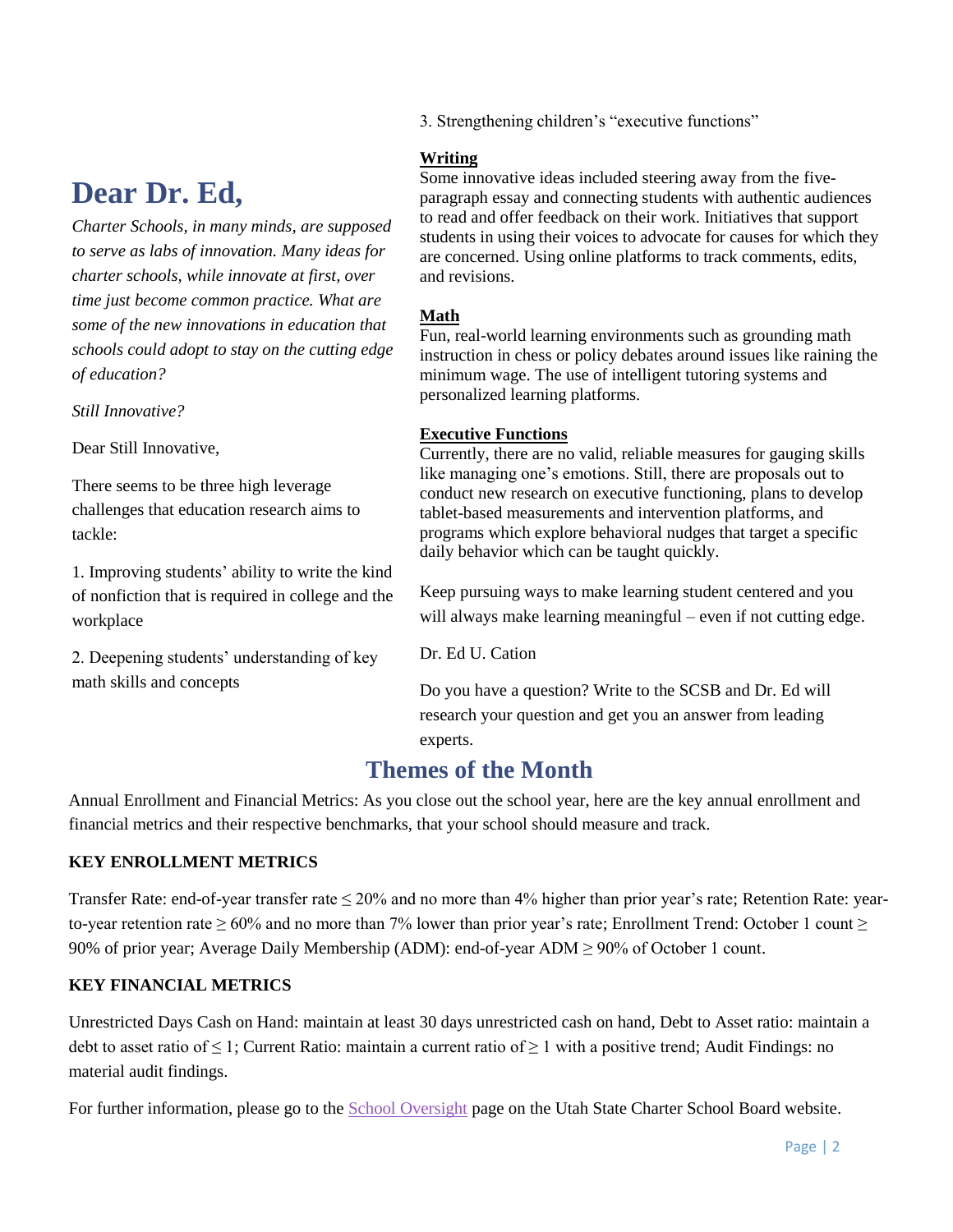### <span id="page-1-0"></span>**Dear Dr. Ed,**

*Charter Schools, in many minds, are supposed to serve as labs of innovation. Many ideas for charter schools, while innovate at first, over time just become common practice. What are some of the new innovations in education that schools could adopt to stay on the cutting edge of education?*

*Still Innovative?*

Dear Still Innovative,

There seems to be three high leverage challenges that education research aims to tackle:

1. Improving students' ability to write the kind of nonfiction that is required in college and the workplace

2. Deepening students' understanding of key math skills and concepts

3. Strengthening children's "executive functions"

#### **Writing**

Some innovative ideas included steering away from the fiveparagraph essay and connecting students with authentic audiences to read and offer feedback on their work. Initiatives that support students in using their voices to advocate for causes for which they are concerned. Using online platforms to track comments, edits, and revisions.

#### **Math**

Fun, real-world learning environments such as grounding math instruction in chess or policy debates around issues like raining the minimum wage. The use of intelligent tutoring systems and personalized learning platforms.

#### **Executive Functions**

Currently, there are no valid, reliable measures for gauging skills like managing one's emotions. Still, there are proposals out to conduct new research on executive functioning, plans to develop tablet-based measurements and intervention platforms, and programs which explore behavioral nudges that target a specific daily behavior which can be taught quickly.

Keep pursuing ways to make learning student centered and you will always make learning meaningful – even if not cutting edge.

Dr. Ed U. Cation

Do you have a question? Write to the SCSB and Dr. Ed will research your question and get you an answer from leading experts.

### **Themes of the Month**

<span id="page-1-1"></span>Annual Enrollment and Financial Metrics: As you close out the school year, here are the key annual enrollment and financial metrics and their respective benchmarks, that your school should measure and track.

#### **KEY ENROLLMENT METRICS**

Transfer Rate: end-of-year transfer rate  $\leq 20\%$  and no more than 4% higher than prior year's rate; Retention Rate: yearto-year retention rate  $> 60\%$  and no more than 7% lower than prior year's rate; Enrollment Trend: October 1 count  $>$ 90% of prior year; Average Daily Membership (ADM): end-of-year ADM ≥ 90% of October 1 count.

#### **KEY FINANCIAL METRICS**

Unrestricted Days Cash on Hand: maintain at least 30 days unrestricted cash on hand, Debt to Asset ratio: maintain a debt to asset ratio of  $\leq 1$ ; Current Ratio: maintain a current ratio of  $\geq 1$  with a positive trend; Audit Findings: no material audit findings.

For further information, please go to the [School Oversight](https://www.utahscsb.org/school-oversight) page on the Utah State Charter School Board website.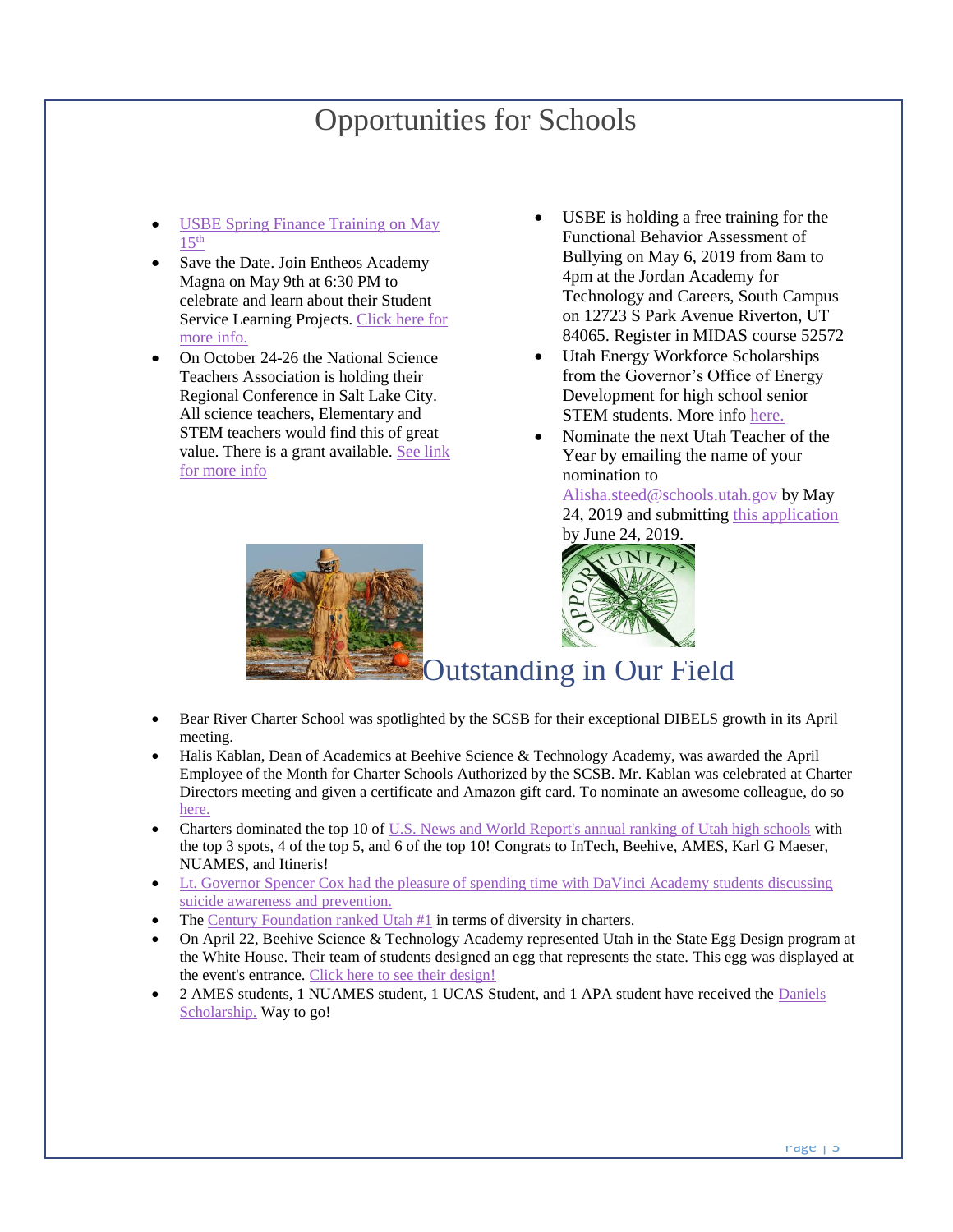### Opportunities for Schools

- <span id="page-2-0"></span>USBE Spring Finance Training on May  $15<sup>th</sup>$  $15<sup>th</sup>$
- Save the Date. Join Entheos Academy Magna on May 9th at 6:30 PM to celebrate and learn about their Student Service Learning Projects. [Click here for](https://twitter.com/UtahSCSB/status/1107730668681904139)  [more info.](https://twitter.com/UtahSCSB/status/1107730668681904139)
- On October 24-26 the National Science Teachers Association is holding their Regional Conference in Salt Lake City. All science teachers, Elementary and STEM teachers would find this of great value. There is a grant available. [See link](https://twitter.com/UtahSCSB/status/1108820864244555776)  [for more info](https://twitter.com/UtahSCSB/status/1108820864244555776)
- USBE is holding a free training for the Functional Behavior Assessment of Bullying on May 6, 2019 from 8am to 4pm at the Jordan Academy for Technology and Careers, South Campus on 12723 S Park Avenue Riverton, UT 84065. Register in MIDAS course 52572
- Utah Energy Workforce Scholarships from the Governor's Office of Energy Development for high school senior STEM students. More info [here.](https://drive.google.com/open?id=1r8uAQvI8g9e44PgQk_HckXO0TW_WuBG-)
- Nominate the next Utah Teacher of the Year by emailing the name of your nomination to

[Alisha.steed@schools.utah.gov](mailto:Alisha.steed@schools.utah.gov) by May 24, 2019 and submitting [this application](https://docs.google.com/forms/d/e/1FAIpQLSfOrdZLN50xhY23A2zuTWEJucEnJc8Z8nnhpKHqg-fv-OvrgA/viewform) by June 24, 2019.

<span id="page-2-1"></span>

- Bear River Charter School was spotlighted by the SCSB for their exceptional DIBELS growth in its April meeting.
- Halis Kablan, Dean of Academics at Beehive Science & Technology Academy, was awarded the April Employee of the Month for Charter Schools Authorized by the SCSB. Mr. Kablan was celebrated at Charter Directors meeting and given a certificate and Amazon gift card. To nominate an awesome colleague, do so [here.](https://docs.google.com/forms/d/e/1FAIpQLSdCs8ICTgo8UzwV7nFe0HiogaRQhfHtxc9YpqXcNvC1nuT56g/viewform?usp=sf_link)
- Charters dominated the top 10 of [U.S. News and World Report's annual ranking of Utah high schools](https://www.sltrib.com/news/education/2019/04/30/most-utahs-top-high/) with the top 3 spots, 4 of the top 5, and 6 of the top 10! Congrats to InTech, Beehive, AMES, Karl G Maeser, NUAMES, and Itineris!
- Lt. Governor Spencer Cox had the pleasure of spending time with DaVinci Academy students discussing [suicide awareness and prevention.](https://twitter.com/SpencerJCox/status/1118241631637913600)
- Th[e Century Foundation ranked Utah #1](https://twitter.com/UtahSCSB/status/1117859517235191808) in terms of diversity in charters.
- On April 22, Beehive Science & Technology Academy represented Utah in the State Egg Design program at the White House. Their team of students designed an egg that represents the state. This egg was displayed at the event's entrance. Click here to [see their design!](https://twitter.com/UtahSCSB/status/1116767998344187906)
- <span id="page-2-2"></span>• 2 AMES students, 1 NUAMES student, 1 UCAS Student, and 1 APA student have received the [Daniels](https://www.danielsfund.org/scholarships/daniels-scholarship-program/overview)  [Scholarship.](https://www.danielsfund.org/scholarships/daniels-scholarship-program/overview) Way to go!